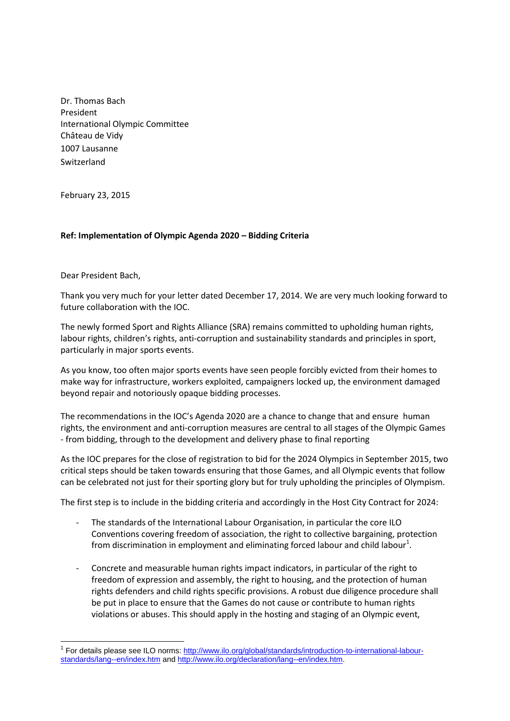Dr. Thomas Bach President International Olympic Committee Château de Vidy 1007 Lausanne **Switzerland** 

February 23, 2015

## **Ref: Implementation of Olympic Agenda 2020 – Bidding Criteria**

Dear President Bach,

 $\overline{a}$ 

Thank you very much for your letter dated December 17, 2014. We are very much looking forward to future collaboration with the IOC.

The newly formed Sport and Rights Alliance (SRA) remains committed to upholding human rights, labour rights, children's rights, anti-corruption and sustainability standards and principles in sport, particularly in major sports events.

As you know, too often major sports events have seen people forcibly evicted from their homes to make way for infrastructure, workers exploited, campaigners locked up, the environment damaged beyond repair and notoriously opaque bidding processes.

The recommendations in the IOC's Agenda 2020 are a chance to change that and ensure human rights, the environment and anti-corruption measures are central to all stages of the Olympic Games - from bidding, through to the development and delivery phase to final reporting

As the IOC prepares for the close of registration to bid for the 2024 Olympics in September 2015, two critical steps should be taken towards ensuring that those Games, and all Olympic events that follow can be celebrated not just for their sporting glory but for truly upholding the principles of Olympism.

The first step is to include in the bidding criteria and accordingly in the Host City Contract for 2024:

- The standards of the International Labour Organisation, in particular the core ILO Conventions covering freedom of association, the right to collective bargaining, protection from discrimination in employment and eliminating forced labour and child labour<sup>1</sup>.
- Concrete and measurable human rights impact indicators, in particular of the right to freedom of expression and assembly, the right to housing, and the protection of human rights defenders and child rights specific provisions. A robust due diligence procedure shall be put in place to ensure that the Games do not cause or contribute to human rights violations or abuses. This should apply in the hosting and staging of an Olympic event,

<sup>&</sup>lt;sup>1</sup> For details please see ILO norms: [http://www.ilo.org/global/standards/introduction-to-international-labour](http://www.ilo.org/global/standards/introduction-to-international-labour-standards/lang--en/index.htm)[standards/lang--en/index.htm](http://www.ilo.org/global/standards/introduction-to-international-labour-standards/lang--en/index.htm) and [http://www.ilo.org/declaration/lang--en/index.htm.](http://www.ilo.org/declaration/lang--en/index.htm)